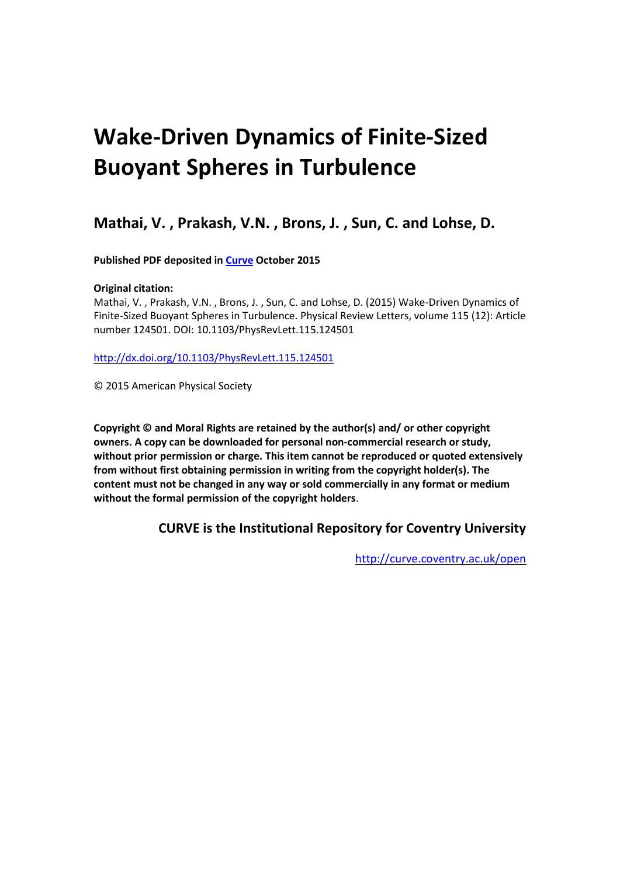## **Wake-Driven Dynamics of Finite-Sized Buoyant Spheres in Turbulence**

**Mathai, V. , Prakash, V.N. , Brons, J. , Sun, C. and Lohse, D.**

**Published PDF deposited in [Curve](http://curve.coventry.ac.uk/open) October 2015**

## **Original citation:**

Mathai, V. , Prakash, V.N. , Brons, J. , Sun, C. and Lohse, D. (2015) Wake-Driven Dynamics of Finite-Sized Buoyant Spheres in Turbulence. Physical Review Letters, volume 115 (12): Article number 124501. DOI: 10.1103/PhysRevLett.115.124501

<http://dx.doi.org/10.1103/PhysRevLett.115.124501>

© 2015 American Physical Society

**Copyright © and Moral Rights are retained by the author(s) and/ or other copyright owners. A copy can be downloaded for personal non-commercial research or study, without prior permission or charge. This item cannot be reproduced or quoted extensively from without first obtaining permission in writing from the copyright holder(s). The content must not be changed in any way or sold commercially in any format or medium without the formal permission of the copyright holders**.

## **CURVE is the Institutional Repository for Coventry University**

<http://curve.coventry.ac.uk/open>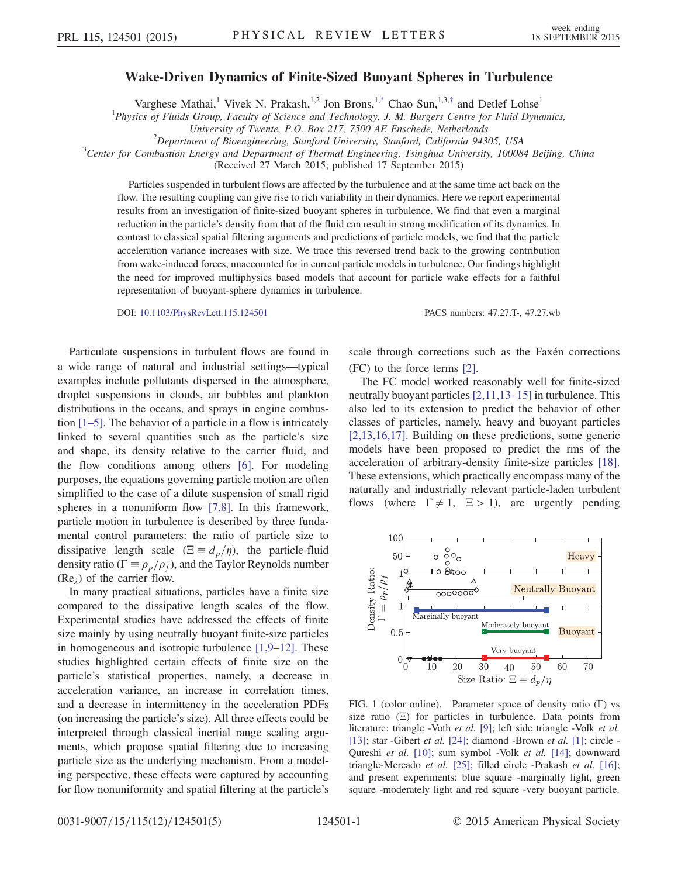## Wake-Driven Dynamics of Finite-Sized Buoyant Spheres in Turbulence

Varghese Mathai,<sup>1</sup> Vivek N. Prakash,<sup>1,2</sup> Jon Brons,<sup>1[,\\*](#page-4-0)</sup> Chao Sun,<sup>1,3,[†](#page-4-1)</sup> and Detlef Lohse<sup>1</sup>

<span id="page-1-1"></span><sup>1</sup>Physics of Fluids Group, Faculty of Science and Technology, J. M. Burgers Centre for Fluid Dynamics,

University of Twente, P.O. Box 217, 7500 AE Enschede, Netherlands <sup>2</sup>

 $^{2}$ Department of Bioengineering, Stanford University, Stanford, California 94305, USA

 $3$ Center for Combustion Energy and Department of Thermal Engineering, Tsinghua University, 100084 Beijing, China

(Received 27 March 2015; published 17 September 2015)

Particles suspended in turbulent flows are affected by the turbulence and at the same time act back on the flow. The resulting coupling can give rise to rich variability in their dynamics. Here we report experimental results from an investigation of finite-sized buoyant spheres in turbulence. We find that even a marginal reduction in the particle's density from that of the fluid can result in strong modification of its dynamics. In contrast to classical spatial filtering arguments and predictions of particle models, we find that the particle acceleration variance increases with size. We trace this reversed trend back to the growing contribution from wake-induced forces, unaccounted for in current particle models in turbulence. Our findings highlight the need for improved multiphysics based models that account for particle wake effects for a faithful representation of buoyant-sphere dynamics in turbulence.

DOI: [10.1103/PhysRevLett.115.124501](http://dx.doi.org/10.1103/PhysRevLett.115.124501) PACS numbers: 47.27.T-, 47.27.wb

Particulate suspensions in turbulent flows are found in a wide range of natural and industrial settings—typical examples include pollutants dispersed in the atmosphere, droplet suspensions in clouds, air bubbles and plankton distributions in the oceans, and sprays in engine combustion [1–[5\]](#page-4-2). The behavior of a particle in a flow is intricately linked to several quantities such as the particle's size and shape, its density relative to the carrier fluid, and the flow conditions among others [\[6\].](#page-5-0) For modeling purposes, the equations governing particle motion are often simplified to the case of a dilute suspension of small rigid spheres in a nonuniform flow [\[7,8\]](#page-5-1). In this framework, particle motion in turbulence is described by three fundamental control parameters: the ratio of particle size to dissipative length scale ( $\Xi \equiv d_p/\eta$ ), the particle-fluid density ratio ( $\Gamma \equiv \rho_p/\rho_f$ ), and the Taylor Reynolds number  $(Re_1)$  of the carrier flow.

In many practical situations, particles have a finite size compared to the dissipative length scales of the flow. Experimental studies have addressed the effects of finite size mainly by using neutrally buoyant finite-size particles in homogeneous and isotropic turbulence [\[1,9](#page-4-2)–12]. These studies highlighted certain effects of finite size on the particle's statistical properties, namely, a decrease in acceleration variance, an increase in correlation times, and a decrease in intermittency in the acceleration PDFs (on increasing the particle's size). All three effects could be interpreted through classical inertial range scaling arguments, which propose spatial filtering due to increasing particle size as the underlying mechanism. From a modeling perspective, these effects were captured by accounting for flow nonuniformity and spatial filtering at the particle's scale through corrections such as the Faxén corrections (FC) to the force terms [\[2\].](#page-4-3)

The FC model worked reasonably well for finite-sized neutrally buoyant particles [\[2,11,13](#page-4-3)–15] in turbulence. This also led to its extension to predict the behavior of other classes of particles, namely, heavy and buoyant particles [\[2,13,16,17\]](#page-4-3). Building on these predictions, some generic models have been proposed to predict the rms of the acceleration of arbitrary-density finite-size particles [\[18\]](#page-5-2). These extensions, which practically encompass many of the naturally and industrially relevant particle-laden turbulent flows (where  $\Gamma \neq 1$ ,  $\Xi > 1$ ), are urgently pending

<span id="page-1-0"></span>

FIG. 1 (color online). Parameter space of density ratio (Γ) vs size ratio  $(\Xi)$  for particles in turbulence. Data points from literature: triangle -Voth et al. [\[9\]](#page-5-3); left side triangle -Volk et al. [\[13\];](#page-5-4) star -Gibert et al. [\[24\];](#page-5-5) diamond -Brown et al. [\[1\];](#page-4-2) circle -Qureshi et al. [\[10\]](#page-5-6); sum symbol -Volk et al. [\[14\];](#page-5-7) downward triangle-Mercado et al. [\[25\];](#page-5-8) filled circle -Prakash et al. [\[16\]](#page-5-9); and present experiments: blue square -marginally light, green square -moderately light and red square -very buoyant particle.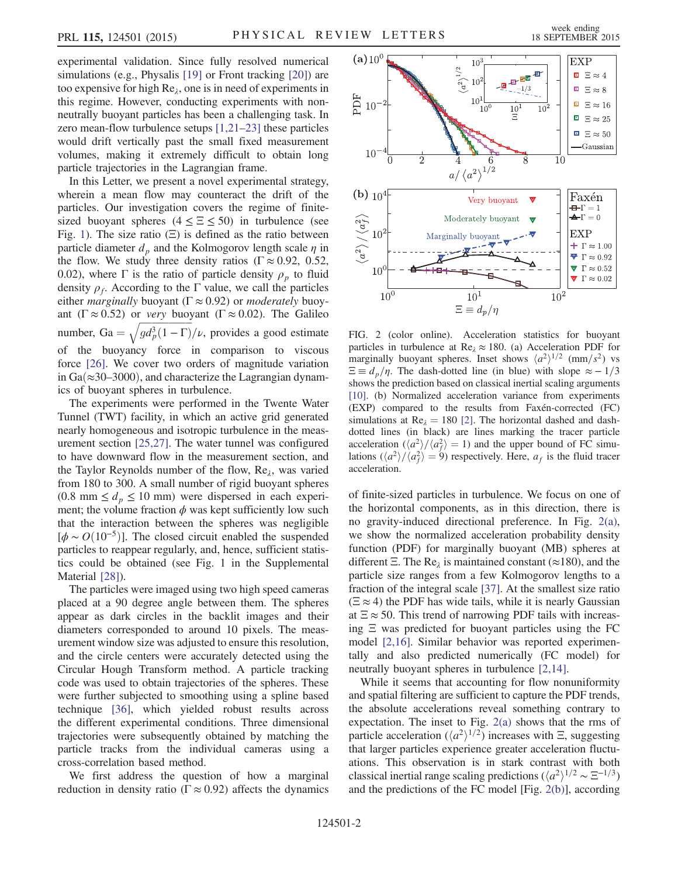experimental validation. Since fully resolved numerical simulations (e.g., Physalis [\[19\]](#page-5-10) or Front tracking [\[20\]\)](#page-5-11) are too expensive for high  $\text{Re}_{\lambda}$ , one is in need of experiments in this regime. However, conducting experiments with nonneutrally buoyant particles has been a challenging task. In zero mean-flow turbulence setups [\[1,21](#page-4-2)–23] these particles would drift vertically past the small fixed measurement volumes, making it extremely difficult to obtain long particle trajectories in the Lagrangian frame.

In this Letter, we present a novel experimental strategy, wherein a mean flow may counteract the drift of the particles. Our investigation covers the regime of finitesized buoyant spheres  $(4 \leq E \leq 50)$  in turbulence (see Fig. [1](#page-1-0)). The size ratio  $(\Xi)$  is defined as the ratio between particle diameter  $d<sub>p</sub>$  and the Kolmogorov length scale  $\eta$  in the flow. We study three density ratios ( $\Gamma \approx 0.92$ , 0.52, 0.02), where  $\Gamma$  is the ratio of particle density  $\rho_p$  to fluid density  $\rho_f$ . According to the Γ value, we call the particles either *marginally* buoyant ( $\Gamma \approx 0.92$ ) or *moderately* buoyant ( $\Gamma \approx 0.52$ ) or very buoyant ( $\Gamma \approx 0.02$ ). The Galileo number, Ga =  $\sqrt{gd_p^3(1-\Gamma)/\nu}$ , provides a good estimate of the buoyancy force in comparison to viscous force [\[26\]](#page-5-12). We cover two orders of magnitude variation in Ga $(\approx 30-3000)$ , and characterize the Lagrangian dynamics of buoyant spheres in turbulence.

The experiments were performed in the Twente Water Tunnel (TWT) facility, in which an active grid generated nearly homogeneous and isotropic turbulence in the measurement section [\[25,27\]](#page-5-8). The water tunnel was configured to have downward flow in the measurement section, and the Taylor Reynolds number of the flow,  $Re<sub>2</sub>$ , was varied from 180 to 300. A small number of rigid buoyant spheres  $(0.8 \text{ mm} \le d_p \le 10 \text{ mm})$  were dispersed in each experiment; the volume fraction  $\phi$  was kept sufficiently low such that the interaction between the spheres was negligible  $[\phi \sim O(10^{-5})]$ . The closed circuit enabled the suspended particles to reappear regularly, and, hence, sufficient statistics could be obtained (see Fig. 1 in the Supplemental Material [\[28\]\)](#page-5-13).

The particles were imaged using two high speed cameras placed at a 90 degree angle between them. The spheres appear as dark circles in the backlit images and their diameters corresponded to around 10 pixels. The measurement window size was adjusted to ensure this resolution, and the circle centers were accurately detected using the Circular Hough Transform method. A particle tracking code was used to obtain trajectories of the spheres. These were further subjected to smoothing using a spline based technique [\[36\],](#page-5-14) which yielded robust results across the different experimental conditions. Three dimensional trajectories were subsequently obtained by matching the particle tracks from the individual cameras using a cross-correlation based method.

We first address the question of how a marginal reduction in density ratio ( $\Gamma \approx 0.92$ ) affects the dynamics

<span id="page-2-0"></span>

FIG. 2 (color online). Acceleration statistics for buoyant particles in turbulence at  $Re_{\lambda} \approx 180$ . (a) Acceleration PDF for marginally buoyant spheres. Inset shows  $\langle a^2 \rangle^{1/2}$  (mm/s<sup>2</sup>) vs  $\Xi \equiv d_p/\eta$ . The dash-dotted line (in blue) with slope  $\approx -1/3$ shows the prediction based on classical inertial scaling arguments [\[10\].](#page-5-6) (b) Normalized acceleration variance from experiments (EXP) compared to the results from Faxén-corrected (FC) simulations at  $Re_1 = 180$  [\[2\]](#page-4-3). The horizontal dashed and dashdotted lines (in black) are lines marking the tracer particle acceleration  $(\langle a^2 \rangle / \langle a_f^2 \rangle = 1)$  and the upper bound of FC simulations  $(\langle a^2 \rangle / \langle a_f^2 \rangle = 9)$  respectively. Here,  $a_f$  is the fluid tracer acceleration.

of finite-sized particles in turbulence. We focus on one of the horizontal components, as in this direction, there is no gravity-induced directional preference. In Fig. [2\(a\)](#page-2-0), we show the normalized acceleration probability density function (PDF) for marginally buoyant (MB) spheres at different  $\Xi$ . The Re<sub>λ</sub> is maintained constant ( $\approx$ 180), and the particle size ranges from a few Kolmogorov lengths to a fraction of the integral scale [\[37\].](#page-5-15) At the smallest size ratio  $(E \approx 4)$  the PDF has wide tails, while it is nearly Gaussian at  $\Xi \approx 50$ . This trend of narrowing PDF tails with increasing  $\Xi$  was predicted for buoyant particles using the FC model [\[2,16\].](#page-4-3) Similar behavior was reported experimentally and also predicted numerically (FC model) for neutrally buoyant spheres in turbulence [\[2,14\].](#page-4-3)

While it seems that accounting for flow nonuniformity and spatial filtering are sufficient to capture the PDF trends, the absolute accelerations reveal something contrary to expectation. The inset to Fig. [2\(a\)](#page-2-0) shows that the rms of particle acceleration ( $\langle a^2 \rangle^{1/2}$ ) increases with Ξ, suggesting that larger particles experience greater acceleration fluctuations. This observation is in stark contrast with both classical inertial range scaling predictions ( $\langle a^2 \rangle^{1/2} \sim \Xi^{-1/3}$ ) and the predictions of the FC model [Fig. [2\(b\)](#page-2-0)], according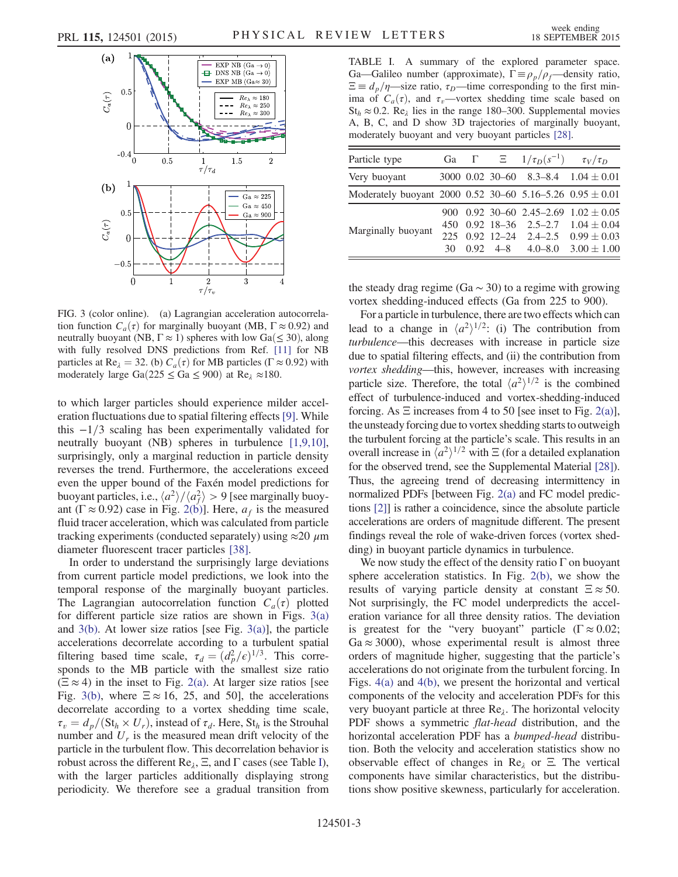<span id="page-3-0"></span>

FIG. 3 (color online). (a) Lagrangian acceleration autocorrelation function  $C_a(\tau)$  for marginally buoyant (MB,  $\Gamma \approx 0.92$ ) and neutrally buoyant (NB,  $\Gamma \approx 1$ ) spheres with low Ga( $\leq 30$ ), along with fully resolved DNS predictions from Ref. [\[11\]](#page-5-17) for NB particles at Re<sub>λ</sub> = 32. (b)  $C_a(\tau)$  for MB particles (Γ  $\approx$  0.92) with moderately large Ga $(225 \leq Ga \leq 900)$  at Re<sub> $\lambda$ </sub> ≈180.

to which larger particles should experience milder acceleration fluctuations due to spatial filtering effects [\[9\].](#page-5-3) While this  $-1/3$  scaling has been experimentally validated for neutrally buoyant (NB) spheres in turbulence [\[1,9,10\]](#page-4-2), surprisingly, only a marginal reduction in particle density reverses the trend. Furthermore, the accelerations exceed even the upper bound of the Faxén model predictions for buoyant particles, i.e.,  $\langle a^2 \rangle / \langle a_f^2 \rangle > 9$  [see marginally buoyant (Γ  $\approx$  0.92) case in Fig. [2\(b\)](#page-2-0)]. Here,  $a_f$  is the measured fluid tracer acceleration, which was calculated from particle tracking experiments (conducted separately) using  $\approx$ 20  $\mu$ m diameter fluorescent tracer particles [\[38\]](#page-5-16).

In order to understand the surprisingly large deviations from current particle model predictions, we look into the temporal response of the marginally buoyant particles. The Lagrangian autocorrelation function  $C_a(\tau)$  plotted for different particle size ratios are shown in Figs.  $3(a)$ and [3\(b\)](#page-3-0). At lower size ratios [see Fig. [3\(a\)\]](#page-3-0), the particle accelerations decorrelate according to a turbulent spatial filtering based time scale,  $\tau_d = (d_p^2/\epsilon)^{1/3}$ . This corresponds to the MB particle with the smallest size ratio  $(\Xi \approx 4)$  in the inset to Fig. [2\(a\)](#page-2-0). At larger size ratios [see Fig. [3\(b\),](#page-3-0) where  $\Xi \approx 16$ , 25, and 50], the accelerations decorrelate according to a vortex shedding time scale,  $\tau_v = d_p/(\text{St}_h \times U_r)$ , instead of  $\tau_d$ . Here, St<sub>h</sub> is the Strouhal number and  $U_r$  is the measured mean drift velocity of the particle in the turbulent flow. This decorrelation behavior is robust across the different  $\text{Re}_{\lambda}$ ,  $\Xi$ , and  $\Gamma$  cases (see Table [I](#page-3-1)), with the larger particles additionally displaying strong periodicity. We therefore see a gradual transition from

<span id="page-3-1"></span>TABLE I. A summary of the explored parameter space. Ga—Galileo number (approximate),  $\Gamma \equiv \rho_p/\rho_f$ —density ratio,  $\Xi \equiv d_p/\eta$ —size ratio,  $\tau_D$ —time corresponding to the first minima of  $C_a(\tau)$ , and  $\tau_v$ —vortex shedding time scale based on  $St_h \approx 0.2$ . Re<sub> $\lambda$ </sub> lies in the range 180–300. Supplemental movies A, B, C, and D show 3D trajectories of marginally buoyant, moderately buoyant and very buoyant particles [\[28\].](#page-5-13)

| Particle type                                                |                         | Ga <sub>Γ</sub> | Ξ.                                 | $1/\tau_D(s^{-1})$                                 | $\tau_V/\tau_D$                                                                               |
|--------------------------------------------------------------|-------------------------|-----------------|------------------------------------|----------------------------------------------------|-----------------------------------------------------------------------------------------------|
| Very buoyant                                                 |                         |                 |                                    |                                                    | 3000 0.02 30–60 8.3–8.4 $1.04 \pm 0.01$                                                       |
| Moderately buoyant 2000 0.52 30–60 5.16–5.26 0.95 $\pm$ 0.01 |                         |                 |                                    |                                                    |                                                                                               |
| Marginally buoyant                                           | 900<br>450<br>225<br>30 | 0.92            | $0.92 \text{ } 18 - 36$<br>$4 - 8$ | $2.5 - 2.7$<br>$0.92$ 12-24 2.4-2.5<br>$4.0 - 8.0$ | 0.92 30-60 2.45-2.69 $1.02 \pm 0.05$<br>$1.04 \pm 0.04$<br>$0.99 \pm 0.03$<br>$3.00 \pm 1.00$ |

the steady drag regime (Ga  $\sim$  30) to a regime with growing vortex shedding-induced effects (Ga from 225 to 900).

For a particle in turbulence, there are two effects which can lead to a change in  $\langle a^2 \rangle^{1/2}$ : (i) The contribution from turbulence—this decreases with increase in particle size due to spatial filtering effects, and (ii) the contribution from vortex shedding—this, however, increases with increasing particle size. Therefore, the total  $\langle a^2 \rangle^{1/2}$  is the combined effect of turbulence-induced and vortex-shedding-induced forcing. As  $\Xi$  increases from 4 to 50 [see inset to Fig. [2\(a\)](#page-2-0)], the unsteady forcing due to vortex shedding starts to outweigh the turbulent forcing at the particle's scale. This results in an overall increase in  $\langle a^2 \rangle^{1/2}$  with  $\Xi$  (for a detailed explanation for the observed trend, see the Supplemental Material [\[28\]](#page-5-13)). Thus, the agreeing trend of decreasing intermittency in normalized PDFs [between Fig. [2\(a\)](#page-2-0) and FC model predictions [\[2\]\]](#page-4-3) is rather a coincidence, since the absolute particle accelerations are orders of magnitude different. The present findings reveal the role of wake-driven forces (vortex shedding) in buoyant particle dynamics in turbulence.

We now study the effect of the density ratio  $\Gamma$  on buoyant sphere acceleration statistics. In Fig. [2\(b\)](#page-2-0), we show the results of varying particle density at constant  $\Xi \approx 50$ . Not surprisingly, the FC model underpredicts the acceleration variance for all three density ratios. The deviation is greatest for the "very buoyant" particle ( $\Gamma \approx 0.02$ ;  $Ga \approx 3000$ , whose experimental result is almost three orders of magnitude higher, suggesting that the particle's accelerations do not originate from the turbulent forcing. In Figs. [4\(a\)](#page-4-4) and [4\(b\),](#page-4-4) we present the horizontal and vertical components of the velocity and acceleration PDFs for this very buoyant particle at three  $Re<sub>λ</sub>$ . The horizontal velocity PDF shows a symmetric *flat-head* distribution, and the horizontal acceleration PDF has a bumped-head distribution. Both the velocity and acceleration statistics show no observable effect of changes in  $\text{Re}_\lambda$  or  $\Xi$ . The vertical components have similar characteristics, but the distributions show positive skewness, particularly for acceleration.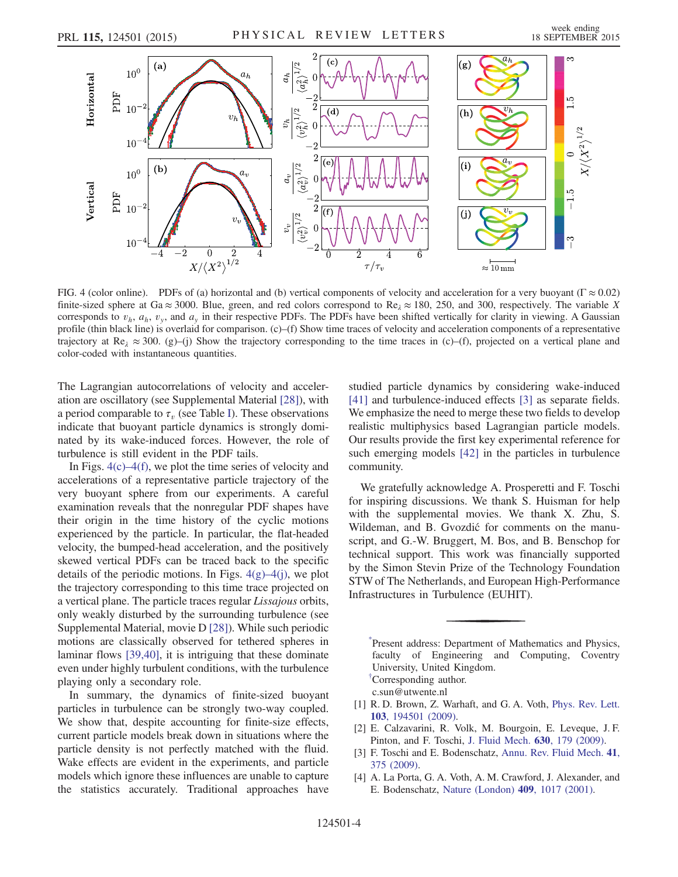<span id="page-4-4"></span>

FIG. 4 (color online). PDFs of (a) horizontal and (b) vertical components of velocity and acceleration for a very buoyant ( $\Gamma \approx 0.02$ ) finite-sized sphere at Ga  $\approx$  3000. Blue, green, and red colors correspond to Re<sub> $\lambda$ </sub>  $\approx$  180, 250, and 300, respectively. The variable X corresponds to  $v_h$ ,  $a_h$ ,  $v_v$ , and  $a_v$  in their respective PDFs. The PDFs have been shifted vertically for clarity in viewing. A Gaussian profile (thin black line) is overlaid for comparison. (c)–(f) Show time traces of velocity and acceleration components of a representative trajectory at Re<sub> $\lambda \approx 300$ </sub>. (g)–(j) Show the trajectory corresponding to the time traces in (c)–(f), projected on a vertical plane and color-coded with instantaneous quantities.

The Lagrangian autocorrelations of velocity and acceleration are oscillatory (see Supplemental Material [\[28\]](#page-5-13)), with a period comparable to  $\tau_v$  (see Table [I\)](#page-3-1). These observations indicate that buoyant particle dynamics is strongly dominated by its wake-induced forces. However, the role of turbulence is still evident in the PDF tails.

In Figs.  $4(c)$ – $4(f)$ , we plot the time series of velocity and accelerations of a representative particle trajectory of the very buoyant sphere from our experiments. A careful examination reveals that the nonregular PDF shapes have their origin in the time history of the cyclic motions experienced by the particle. In particular, the flat-headed velocity, the bumped-head acceleration, and the positively skewed vertical PDFs can be traced back to the specific details of the periodic motions. In Figs.  $4(g) - 4(i)$  $4(g) - 4(i)$ , we plot the trajectory corresponding to this time trace projected on a vertical plane. The particle traces regular Lissajous orbits, only weakly disturbed by the surrounding turbulence (see Supplemental Material, movie D [\[28\]](#page-5-13)). While such periodic motions are classically observed for tethered spheres in laminar flows [\[39,40\],](#page-5-18) it is intriguing that these dominate even under highly turbulent conditions, with the turbulence playing only a secondary role.

In summary, the dynamics of finite-sized buoyant particles in turbulence can be strongly two-way coupled. We show that, despite accounting for finite-size effects, current particle models break down in situations where the particle density is not perfectly matched with the fluid. Wake effects are evident in the experiments, and particle models which ignore these influences are unable to capture the statistics accurately. Traditional approaches have studied particle dynamics by considering wake-induced [\[41\]](#page-5-19) and turbulence-induced effects [\[3\]](#page-4-5) as separate fields. We emphasize the need to merge these two fields to develop realistic multiphysics based Lagrangian particle models. Our results provide the first key experimental reference for such emerging models [\[42\]](#page-5-20) in the particles in turbulence community.

We gratefully acknowledge A. Prosperetti and F. Toschi for inspiring discussions. We thank S. Huisman for help with the supplemental movies. We thank X. Zhu, S. Wildeman, and B. Gvozdić for comments on the manuscript, and G.-W. Bruggert, M. Bos, and B. Benschop for technical support. This work was financially supported by the Simon Stevin Prize of the Technology Foundation STW of The Netherlands, and European High-Performance Infrastructures in Turbulence (EUHIT).

<span id="page-4-1"></span><span id="page-4-0"></span>[\\*](#page-1-1) Present address: Department of Mathematics and Physics, faculty of Engineering and Computing, Coventry University, United Kingdom. [†](#page-1-1) Corresponding author. c.sun@utwente.nl

- <span id="page-4-2"></span>[1] R. D. Brown, Z. Warhaft, and G. A. Voth, [Phys. Rev. Lett.](http://dx.doi.org/10.1103/PhysRevLett.103.194501) 103[, 194501 \(2009\).](http://dx.doi.org/10.1103/PhysRevLett.103.194501)
- <span id="page-4-3"></span>[2] E. Calzavarini, R. Volk, M. Bourgoin, E. Leveque, J. F. Pinton, and F. Toschi, [J. Fluid Mech.](http://dx.doi.org/10.1017/S0022112009006880) 630, 179 (2009).
- <span id="page-4-5"></span>[3] F. Toschi and E. Bodenschatz, [Annu. Rev. Fluid Mech.](http://dx.doi.org/10.1146/annurev.fluid.010908.165210) 41, [375 \(2009\)](http://dx.doi.org/10.1146/annurev.fluid.010908.165210).
- [4] A. La Porta, G. A. Voth, A. M. Crawford, J. Alexander, and E. Bodenschatz, [Nature \(London\)](http://dx.doi.org/10.1038/35059027) 409, 1017 (2001).